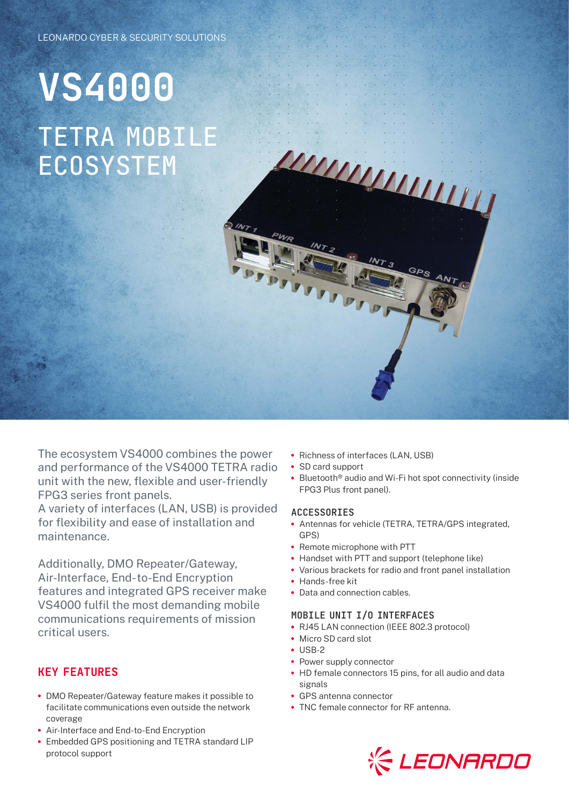# **VS4000** TETRA MOBILE **ECOSYSTEM**

The ecosystem VS4000 combines the power and performance of the VS4000 TETRA radio unit with the new, flexible and user-friendly FPG3 series front panels.

A variety of interfaces (LAN, USB) is provided for flexibility and ease of installation and maintenance.

Additionally, DMO Repeater/Gateway, Air-Interface, End- to-End Encryption features and integrated GPS receiver make VS4000 fulfil the most demanding mobile communications requirements of mission critical users.

## KEY FEATURES

- **•** DMO Repeater/Gateway feature makes it possible to facilitate communications even outside the network coverage
- **•** Air-Interface and End-to-End Encryption
- **•** Embedded GPS positioning and TETRA standard LIP protocol support

**•** Richness of interfaces (LAN, USB)

- **•** SD card support
- **•** Bluetooth® audio and Wi-Fi hot spot connectivity (inside FPG3 Plus front panel).

#### **ACCESSORTES**

- **•** Antennas for vehicle (TETRA, TETRA/GPS integrated, GPS)
- **•** Remote microphone with PTT
- **•** Handset with PTT and support (telephone like)
- **•** Various brackets for radio and front panel installation
- **•** Hands-free kit
- **•** Data and connection cables.

#### MOBILE UNIT I/O INTERFACES

- **•** RJ45 LAN connection (IEEE 802.3 protocol)
- **•** Micro SD card slot
- **•** USB-2
- **•** Power supply connector
- **•** HD female connectors 15 pins, for all audio and data signals
- **•** GPS antenna connector
- **•** TNC female connector for RF antenna.